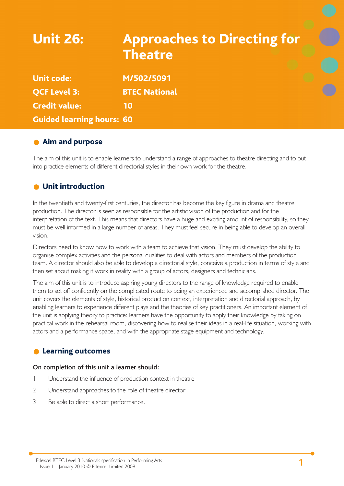# Unit 26: Approaches to Directing for **Theatre** Unit code: M/502/5091 QCF Level 3: BTEC National Credit value: 10

Guided learning hours: 60

## **Aim and purpose**

The aim of this unit is to enable learners to understand a range of approaches to theatre directing and to put into practice elements of different directorial styles in their own work for the theatre.

## **O** Unit introduction

In the twentieth and twenty-first centuries, the director has become the key figure in drama and theatre production. The director is seen as responsible for the artistic vision of the production and for the interpretation of the text. This means that directors have a huge and exciting amount of responsibility, so they must be well informed in a large number of areas. They must feel secure in being able to develop an overall vision.

Directors need to know how to work with a team to achieve that vision. They must develop the ability to organise complex activities and the personal qualities to deal with actors and members of the production team. A director should also be able to develop a directorial style, conceive a production in terms of style and then set about making it work in reality with a group of actors, designers and technicians.

The aim of this unit is to introduce aspiring young directors to the range of knowledge required to enable them to set off confidently on the complicated route to being an experienced and accomplished director. The unit covers the elements of style, historical production context, interpretation and directorial approach, by enabling learners to experience different plays and the theories of key practitioners. An important element of the unit is applying theory to practice: learners have the opportunity to apply their knowledge by taking on practical work in the rehearsal room, discovering how to realise their ideas in a real-life situation, working with actors and a performance space, and with the appropriate stage equipment and technology.

## Learning outcomes

#### **On completion of this unit a learner should:**

- 1 Understand the influence of production context in theatre
- 2 Understand approaches to the role of theatre director
- 3 Be able to direct a short performance.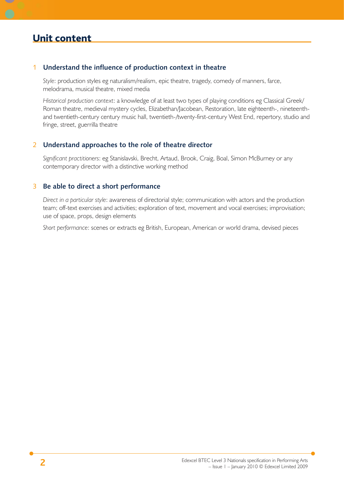#### 1 **Understand the influence of production context in theatre**

*Style*: production styles eg naturalism/realism, epic theatre, tragedy, comedy of manners, farce, melodrama, musical theatre, mixed media

*Historical production context*: a knowledge of at least two types of playing conditions eg Classical Greek/ Roman theatre, medieval mystery cycles, Elizabethan/Jacobean, Restoration, late eighteenth-, nineteenthand twentieth-century century music hall, twentieth-/twenty-first-century West End, repertory, studio and fringe, street, guerrilla theatre

#### 2 **Understand approaches to the role of theatre director**

*Significant practitioners*: eg Stanislavski, Brecht, Artaud, Brook, Craig, Boal, Simon McBurney or any contemporary director with a distinctive working method

#### 3 **Be able to direct a short performance**

*Direct in a particular style*: awareness of directorial style; communication with actors and the production team; off-text exercises and activities; exploration of text, movement and vocal exercises; improvisation; use of space, props, design elements

*Short performance*: scenes or extracts eg British, European, American or world drama, devised pieces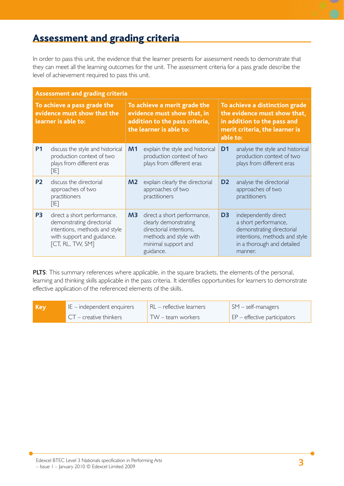## Assessment and grading criteria

In order to pass this unit, the evidence that the learner presents for assessment needs to demonstrate that they can meet all the learning outcomes for the unit. The assessment criteria for a pass grade describe the level of achievement required to pass this unit.

| <b>Assessment and grading criteria</b>                                            |                                                                                                                                             |                                                                                                                          |                                                                                                                                               |                                                                                                                                             |                                                                                                                                                     |
|-----------------------------------------------------------------------------------|---------------------------------------------------------------------------------------------------------------------------------------------|--------------------------------------------------------------------------------------------------------------------------|-----------------------------------------------------------------------------------------------------------------------------------------------|---------------------------------------------------------------------------------------------------------------------------------------------|-----------------------------------------------------------------------------------------------------------------------------------------------------|
| To achieve a pass grade the<br>evidence must show that the<br>learner is able to: |                                                                                                                                             | To achieve a merit grade the<br>evidence must show that, in<br>addition to the pass criteria,<br>the learner is able to: |                                                                                                                                               | To achieve a distinction grade<br>the evidence must show that,<br>in addition to the pass and<br>merit criteria, the learner is<br>able to: |                                                                                                                                                     |
| <b>P1</b>                                                                         | discuss the style and historical<br>production context of two<br>plays from different eras<br>阳                                             | M <sub>1</sub>                                                                                                           | explain the style and historical<br>production context of two<br>plays from different eras                                                    | D <sub>1</sub>                                                                                                                              | analyse the style and historical<br>production context of two<br>plays from different eras                                                          |
| <b>P2</b>                                                                         | discuss the directorial<br>approaches of two<br>practitioners<br>[IF]                                                                       | M <sub>2</sub>                                                                                                           | explain clearly the directorial<br>approaches of two<br>practitioners                                                                         | D <sub>2</sub>                                                                                                                              | analyse the directorial<br>approaches of two<br>practitioners                                                                                       |
| P <sub>3</sub>                                                                    | direct a short performance,<br>demonstrating directorial<br>intentions, methods and style<br>with support and guidance.<br>[CT, RL, TW, SM] | M <sub>3</sub>                                                                                                           | direct a short performance,<br>clearly demonstrating<br>directorial intentions,<br>methods and style with<br>minimal support and<br>guidance. | D <sub>3</sub>                                                                                                                              | independently direct<br>a short performance,<br>demonstrating directorial<br>intentions, methods and style<br>in a thorough and detailed<br>manner. |

**PLTS**: This summary references where applicable, in the square brackets, the elements of the personal, learning and thinking skills applicable in the pass criteria. It identifies opportunities for learners to demonstrate effective application of the referenced elements of the skills.

| Key | IE – independent enquirers | RL – reflective learners   | $\mathsf{SM}$ – self-managers             |
|-----|----------------------------|----------------------------|-------------------------------------------|
|     | $CT -$ creative thinkers   | $TW - \text{team workers}$ | $\mathsf{E}$ EP – effective participators |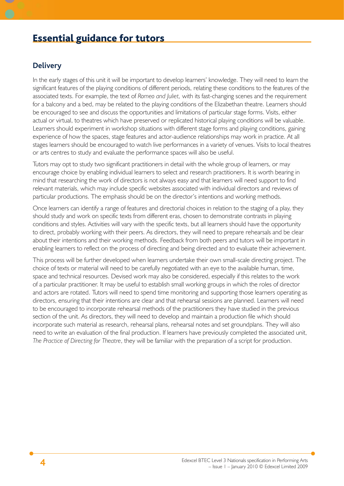## Essential guidance for tutors

#### **Delivery**

In the early stages of this unit it will be important to develop learners' knowledge. They will need to learn the significant features of the playing conditions of different periods, relating these conditions to the features of the associated texts. For example, the text of *Romeo and Juliet,* with its fast-changing scenes and the requirement for a balcony and a bed, may be related to the playing conditions of the Elizabethan theatre. Learners should be encouraged to see and discuss the opportunities and limitations of particular stage forms. Visits, either actual or virtual, to theatres which have preserved or replicated historical playing conditions will be valuable. Learners should experiment in workshop situations with different stage forms and playing conditions, gaining experience of how the spaces, stage features and actor-audience relationships may work in practice. At all stages learners should be encouraged to watch live performances in a variety of venues. Visits to local theatres or arts centres to study and evaluate the performance spaces will also be useful.

Tutors may opt to study two significant practitioners in detail with the whole group of learners, or may encourage choice by enabling individual learners to select and research practitioners. It is worth bearing in mind that researching the work of directors is not always easy and that learners will need support to find relevant materials, which may include specific websites associated with individual directors and reviews of particular productions. The emphasis should be on the director's intentions and working methods.

Once learners can identify a range of features and directorial choices in relation to the staging of a play, they should study and work on specific texts from different eras, chosen to demonstrate contrasts in playing conditions and styles. Activities will vary with the specific texts, but all learners should have the opportunity to direct, probably working with their peers. As directors, they will need to prepare rehearsals and be clear about their intentions and their working methods. Feedback from both peers and tutors will be important in enabling learners to reflect on the process of directing and being directed and to evaluate their achievement.

This process will be further developed when learners undertake their own small-scale directing project. The choice of texts or material will need to be carefully negotiated with an eye to the available human, time, space and technical resources. Devised work may also be considered, especially if this relates to the work of a particular practitioner. It may be useful to establish small working groups in which the roles of director and actors are rotated. Tutors will need to spend time monitoring and supporting those learners operating as directors, ensuring that their intentions are clear and that rehearsal sessions are planned. Learners will need to be encouraged to incorporate rehearsal methods of the practitioners they have studied in the previous section of the unit. As directors, they will need to develop and maintain a production file which should incorporate such material as research, rehearsal plans, rehearsal notes and set groundplans. They will also need to write an evaluation of the final production. If learners have previously completed the associated unit, *The Practice of Directing for Theatre*, they will be familiar with the preparation of a script for production.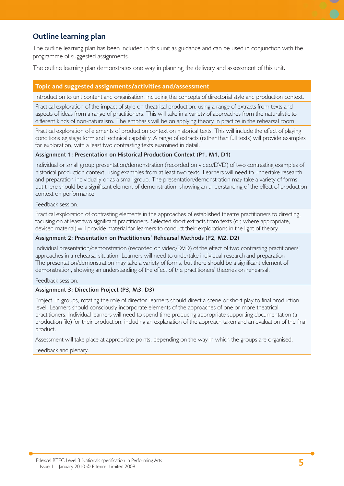## **Outline learning plan**

The outline learning plan has been included in this unit as guidance and can be used in conjunction with the programme of suggested assignments.

The outline learning plan demonstrates one way in planning the delivery and assessment of this unit.

#### **Topic and suggested assignments/activities and/assessment**

Introduction to unit content and organisation, including the concepts of directorial style and production context.

Practical exploration of the impact of style on theatrical production, using a range of extracts from texts and aspects of ideas from a range of practitioners. This will take in a variety of approaches from the naturalistic to different kinds of non-naturalism. The emphasis will be on applying theory in practice in the rehearsal room.

Practical exploration of elements of production context on historical texts. This will include the effect of playing conditions eg stage form and technical capability. A range of extracts (rather than full texts) will provide examples for exploration, with a least two contrasting texts examined in detail.

#### **Assignment 1: Presentation on Historical Production Context (P1, M1, D1)**

Individual or small group presentation/demonstration (recorded on video/DVD) of two contrasting examples of historical production context, using examples from at least two texts. Learners will need to undertake research and preparation individually or as a small group. The presentation/demonstration may take a variety of forms, but there should be a significant element of demonstration, showing an understanding of the effect of production context on performance.

#### Feedback session.

Practical exploration of contrasting elements in the approaches of established theatre practitioners to directing, focusing on at least two significant practitioners. Selected short extracts from texts (or, where appropriate, devised material) will provide material for learners to conduct their explorations in the light of theory.

#### **Assignment 2: Presentation on Practitioners' Rehearsal Methods (P2, M2, D2)**

Individual presentation/demonstration (recorded on video/DVD) of the effect of two contrasting practitioners' approaches in a rehearsal situation. Learners will need to undertake individual research and preparation The presentation/demonstration may take a variety of forms, but there should be a significant element of demonstration, showing an understanding of the effect of the practitioners' theories on rehearsal.

Feedback session.

#### **Assignment 3: Direction Project (P3, M3, D3)**

Project: in groups, rotating the role of director, learners should direct a scene or short play to final production level. Learners should consciously incorporate elements of the approaches of one or more theatrical practitioners. Individual learners will need to spend time producing appropriate supporting documentation (a production file) for their production, including an explanation of the approach taken and an evaluation of the final product.

Assessment will take place at appropriate points, depending on the way in which the groups are organised.

Feedback and plenary.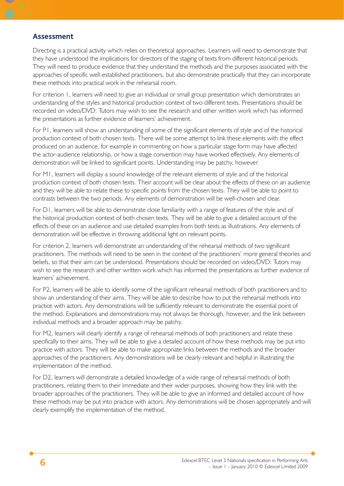#### **Assessment**

Directing is a practical activity which relies on theoretical approaches. Learners will need to demonstrate that they have understood the implications for directors of the staging of texts from different historical periods. They will need to produce evidence that they understand the methods and the purposes associated with the approaches of specific well-established practitioners, but also demonstrate practically that they can incorporate these methods into practical work in the rehearsal room.

For criterion 1, learners will need to give an individual or small group presentation which demonstrates an understanding of the styles and historical production context of two different texts. Presentations should be recorded on video/DVD: Tutors may wish to see the research and other written work which has informed the presentations as further evidence of learners' achievement.

For P1, learners will show an understanding of some of the significant elements of style and of the historical production context of both chosen texts. There will be some attempt to link these elements with the effect produced on an audience, for example in commenting on how a particular stage form may have affected the actor-audience relationship, or how a stage convention may have worked effectively. Any elements of demonstration will be linked to significant points. Understanding may be patchy, however.

For M1, learners will display a sound knowledge of the relevant elements of style and of the historical production context of both chosen texts. Their account will be clear about the effects of these on an audience and they will be able to relate these to specific points from the chosen texts. They will be able to point to contrasts between the two periods. Any elements of demonstration will be well-chosen and clear.

For D1, learners will be able to demonstrate close familiarity with a range of features of the style and of the historical production context of both chosen texts. They will be able to give a detailed account of the effects of these on an audience and use detailed examples from both texts as illustrations. Any elements of demonstration will be effective in throwing additional light on relevant points.

For criterion 2, learners will demonstrate an understanding of the rehearsal methods of two significant practitioners. The methods will need to be seen in the context of the practitioners' more general theories and beliefs, so that their aim can be understood. Presentations should be recorded on video/DVD: Tutors may wish to see the research and other written work which has informed the presentations as further evidence of learners' achievement.

For P2, learners will be able to identify some of the significant rehearsal methods of both practitioners and to show an understanding of their aims. They will be able to describe how to put the rehearsal methods into practice with actors. Any demonstrations will be sufficiently relevant to demonstrate the essential point of the method. Explanations and demonstrations may not always be thorough, however, and the link between individual methods and a broader approach may be patchy.

For M2, learners will clearly identify a range of rehearsal methods of both practitioners and relate these specifically to their aims. They will be able to give a detailed account of how these methods may be put into practice with actors. They will be able to make appropriate links between the methods and the broader approaches of the practitioners. Any demonstrations will be clearly relevant and helpful in illustrating the implementation of the method.

For D2, learners will demonstrate a detailed knowledge of a wide range of rehearsal methods of both practitioners, relating them to their immediate and their wider purposes, showing how they link with the broader approaches of the practitioners. They will be able to give an informed and detailed account of how these methods may be put into practice with actors. Any demonstrations will be chosen appropriately and will clearly exemplify the implementation of the method.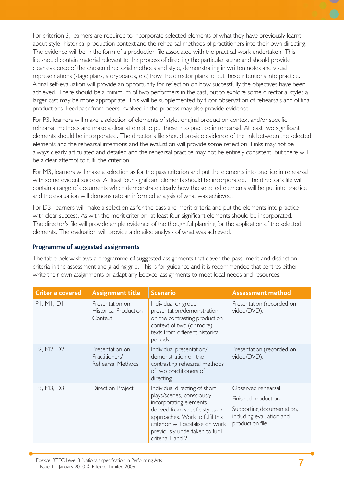For criterion 3, learners are required to incorporate selected elements of what they have previously learnt about style, historical production context and the rehearsal methods of practitioners into their own directing. The evidence will be in the form of a production file associated with the practical work undertaken. This file should contain material relevant to the process of directing the particular scene and should provide clear evidence of the chosen directorial methods and style, demonstrating in written notes and visual representations (stage plans, storyboards, etc) how the director plans to put these intentions into practice. A final self-evaluation will provide an opportunity for reflection on how successfully the objectives have been achieved. There should be a minimum of two performers in the cast, but to explore some directorial styles a larger cast may be more appropriate. This will be supplemented by tutor observation of rehearsals and of final productions. Feedback from peers involved in the process may also provide evidence.

For P3, learners will make a selection of elements of style, original production context and/or specific rehearsal methods and make a clear attempt to put these into practice in rehearsal. At least two significant elements should be incorporated. The director's file should provide evidence of the link between the selected elements and the rehearsal intentions and the evaluation will provide some reflection. Links may not be always clearly articulated and detailed and the rehearsal practice may not be entirely consistent, but there will be a clear attempt to fulfil the criterion.

For M3, learners will make a selection as for the pass criterion and put the elements into practice in rehearsal with some evident success. At least four significant elements should be incorporated. The director's file will contain a range of documents which demonstrate clearly how the selected elements will be put into practice and the evaluation will demonstrate an informed analysis of what was achieved.

For D3, learners will make a selection as for the pass and merit criteria and put the elements into practice with clear success. As with the merit criterion, at least four significant elements should be incorporated. The director's file will provide ample evidence of the thoughtful planning for the application of the selected elements. The evaluation will provide a detailed analysis of what was achieved.

#### **Programme of suggested assignments**

The table below shows a programme of suggested assignments that cover the pass, merit and distinction criteria in the assessment and grading grid. This is for guidance and it is recommended that centres either write their own assignments or adapt any Edexcel assignments to meet local needs and resources.

| <b>Criteria covered</b> | <b>Assignment title</b>                                    | <b>Scenario</b>                                                                                                                                                                                                                                         | <b>Assessment method</b>                                                                                                 |
|-------------------------|------------------------------------------------------------|---------------------------------------------------------------------------------------------------------------------------------------------------------------------------------------------------------------------------------------------------------|--------------------------------------------------------------------------------------------------------------------------|
| PI, MI, DI              | Presentation on<br><b>Historical Production</b><br>Context | Individual or group<br>presentation/demonstration<br>on the contrasting production<br>context of two (or more)<br>texts from different historical<br>periods.                                                                                           | Presentation (recorded on<br>video/DVD).                                                                                 |
| P2, M2, D2              | Presentation on<br>Practitioners'<br>Rehearsal Methods     | Individual presentation/<br>demonstration on the<br>contrasting rehearsal methods<br>of two practitioners of<br>directing.                                                                                                                              | Presentation (recorded on<br>video/DVD).                                                                                 |
| P3, M3, D3              | <b>Direction Project</b>                                   | Individual directing of short<br>plays/scenes, consciously<br>incorporating elements<br>derived from specific styles or<br>approaches. Work to fulfil this<br>criterion will capitalise on work<br>previously undertaken to fulfil<br>criteria I and 2. | Observed rehearsal.<br>Finished production.<br>Supporting documentation,<br>including evaluation and<br>production file. |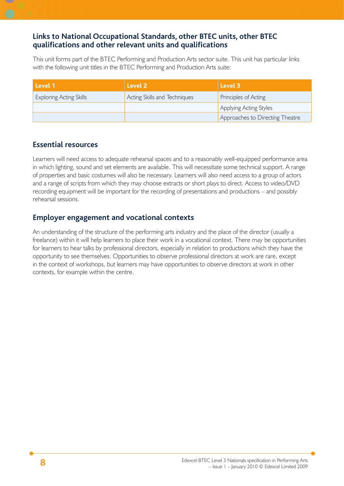### **Links to National Occupational Standards, other BTEC units, other BTEC qualifi cations and other relevant units and qualifi cations**

This unit forms part of the BTEC Performing and Production Arts sector suite. This unit has particular links with the following unit titles in the BTEC Performing and Production Arts suite:

| Level 1                        | Level 2                      | Level 3                         |
|--------------------------------|------------------------------|---------------------------------|
| <b>Exploring Acting Skills</b> | Acting Skills and Techniques | Principles of Acting            |
|                                |                              | Applying Acting Styles          |
|                                |                              | Approaches to Directing Theatre |

### **Essential resources**

Learners will need access to adequate rehearsal spaces and to a reasonably well-equipped performance area in which lighting, sound and set elements are available. This will necessitate some technical support. A range of properties and basic costumes will also be necessary. Learners will also need access to a group of actors and a range of scripts from which they may choose extracts or short plays to direct. Access to video/DVD recording equipment will be important for the recording of presentations and productions – and possibly rehearsal sessions.

### **Employer engagement and vocational contexts**

An understanding of the structure of the performing arts industry and the place of the director (usually a freelance) within it will help learners to place their work in a vocational context. There may be opportunities for learners to hear talks by professional directors, especially in relation to productions which they have the opportunity to see themselves. Opportunities to observe professional directors at work are rare, except in the context of workshops, but learners may have opportunities to observe directors at work in other contexts, for example within the centre.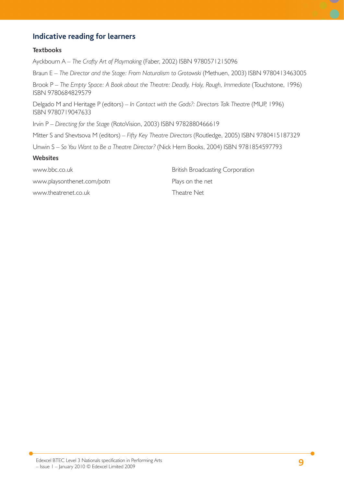## **Indicative reading for learners**

#### **Textbooks**

Ayckbourn A – *The Crafty Art of Playmaking* (Faber, 2002) ISBN 9780571215096

Braun E – The Director and the Stage: From Naturalism to Grotowski (Methuen, 2003) ISBN 9780413463005

Brook P – The Empty Space: A Book about the Theatre: Deadly, Holy, Rough, Immediate (Touchstone, 1996) ISBN 9780684829579

Delgado M and Heritage P (editors) – In Contact with the Gods?: Directors Talk Theatre (MUP, 1996) ISBN 9780719047633

Irvin P – *Directing for the Stage* (RotoVision, 2003) ISBN 9782880466619

Mitter S and Shevtsova M (editors) – *Fifty Key Theatre Directors* (Routledge, 2005) ISBN 9780415187329

Unwin S – *So You Want to Be a Theatre Director?* (Nick Hern Books, 2004) ISBN 9781854597793

#### **Websites**

www.playsonthenet.com/potn Plays on the net

www.theatrenet.co.uk Theatre Net

www.bbc.co.uk British Broadcasting Corporation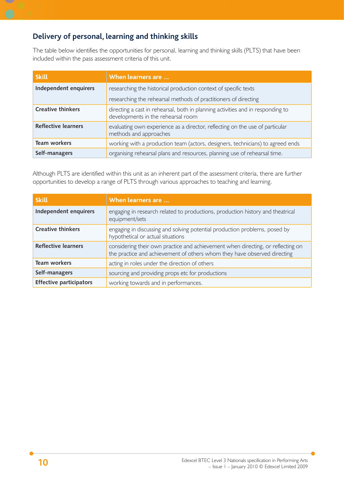## **Delivery of personal, learning and thinking skills**

The table below identifies the opportunities for personal, learning and thinking skills (PLTS) that have been included within the pass assessment criteria of this unit.

| <b>Skill</b>               | When learners are                                                                                                     |
|----------------------------|-----------------------------------------------------------------------------------------------------------------------|
| Independent enquirers      | researching the historical production context of specific texts                                                       |
|                            | researching the rehearsal methods of practitioners of directing                                                       |
| <b>Creative thinkers</b>   | directing a cast in rehearsal, both in planning activities and in responding to<br>developments in the rehearsal room |
| <b>Reflective learners</b> | evaluating own experience as a director, reflecting on the use of particular<br>methods and approaches                |
| <b>Team workers</b>        | working with a production team (actors, designers, technicians) to agreed ends                                        |
| Self-managers              | organising rehearsal plans and resources, planning use of rehearsal time.                                             |

Although PLTS are identified within this unit as an inherent part of the assessment criteria, there are further opportunities to develop a range of PLTS through various approaches to teaching and learning.

| <b>Skill</b>                   | When learners are                                                                                                                                           |
|--------------------------------|-------------------------------------------------------------------------------------------------------------------------------------------------------------|
| Independent enquirers          | engaging in research related to productions, production history and theatrical<br>equipment/sets                                                            |
| <b>Creative thinkers</b>       | engaging in discussing and solving potential production problems, posed by<br>hypothetical or actual situations                                             |
| <b>Reflective learners</b>     | considering their own practice and achievement when directing, or reflecting on<br>the practice and achievement of others whom they have observed directing |
| Team workers                   | acting in roles under the direction of others                                                                                                               |
| Self-managers                  | sourcing and providing props etc for productions                                                                                                            |
| <b>Effective participators</b> | working towards and in performances.                                                                                                                        |